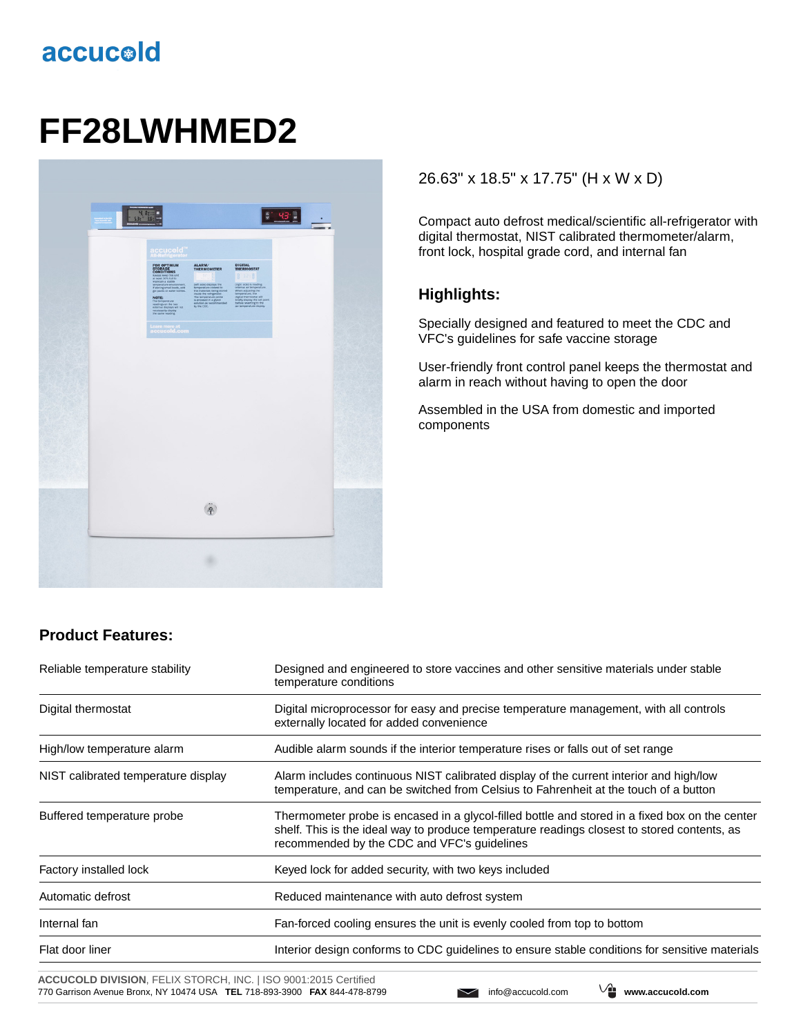# accucold

# **FF28LWHMED2**



## 26.63" x 18.5" x 17.75" (H x W x D)

Compact auto defrost medical/scientific all-refrigerator with digital thermostat, NIST calibrated thermometer/alarm, front lock, hospital grade cord, and internal fan

#### **Highlights:**

Specially designed and featured to meet the CDC and VFC's guidelines for safe vaccine storage

User-friendly front control panel keeps the thermostat and alarm in reach without having to open the door

Assembled in the USA from domestic and imported components

## **Product Features:**

| Reliable temperature stability      | Designed and engineered to store vaccines and other sensitive materials under stable<br>temperature conditions                                                                                                                               |  |
|-------------------------------------|----------------------------------------------------------------------------------------------------------------------------------------------------------------------------------------------------------------------------------------------|--|
| Digital thermostat                  | Digital microprocessor for easy and precise temperature management, with all controls<br>externally located for added convenience                                                                                                            |  |
| High/low temperature alarm          | Audible alarm sounds if the interior temperature rises or falls out of set range                                                                                                                                                             |  |
| NIST calibrated temperature display | Alarm includes continuous NIST calibrated display of the current interior and high/low<br>temperature, and can be switched from Celsius to Fahrenheit at the touch of a button                                                               |  |
| Buffered temperature probe          | Thermometer probe is encased in a glycol-filled bottle and stored in a fixed box on the center<br>shelf. This is the ideal way to produce temperature readings closest to stored contents, as<br>recommended by the CDC and VFC's quidelines |  |
| Factory installed lock              | Keyed lock for added security, with two keys included                                                                                                                                                                                        |  |
| Automatic defrost                   | Reduced maintenance with auto defrost system                                                                                                                                                                                                 |  |
| Internal fan                        | Fan-forced cooling ensures the unit is evenly cooled from top to bottom                                                                                                                                                                      |  |
| Flat door liner                     | Interior design conforms to CDC guidelines to ensure stable conditions for sensitive materials                                                                                                                                               |  |

**ACCUCOLD DIVISION**, FELIX STORCH, INC. | ISO 9001:2015 Certified 770 Garrison Avenue Bronx, NY 10474 USA **TEL** 718-893-3900 **FAX** 844-478-8799 info@accucold.com **www.accucold.com**